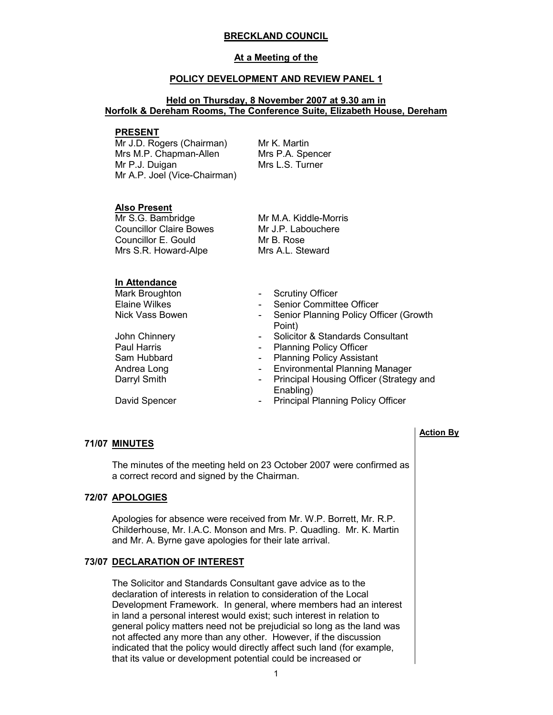## BRECKLAND COUNCIL

#### At a Meeting of the

#### POLICY DEVELOPMENT AND REVIEW PANEL 1

# Held on Thursday, 8 November 2007 at 9.30 am in Norfolk & Dereham Rooms, The Conference Suite, Elizabeth House, Dereham

#### PRESENT

Mr J.D. Rogers (Chairman) Mrs M.P. Chapman-Allen Mr P.J. Duigan Mr A.P. Joel (Vice-Chairman) Mr K. Martin Mrs P.A. Spencer Mrs L.S. Turner

### Also Present

Mr S.G. Bambridge Councillor Claire Bowes Councillor E. Gould Mrs S.R. Howard-Alpe

Mr M.A. Kiddle-Morris Mr J.P. Labouchere Mr B. Rose Mrs A.L. Steward

### In Attendance

Mark Broughton **- Scrutiny Officer**<br>Elaine Wilkes **- Senior Committ** 

Paul Harris **Caul Harris 1988** - Planning Policy Officer<br>
Sam Hubbard **Caul Assists** - Planning Policy Assista

- Senior Committee Officer
- Nick Vass Bowen Senior Planning Policy Officer (Growth Point)
- John Chinnery **Channery Solicitor & Standards Consultant** 
	-
- Sam Hubbard **Camera Contract Contract Contract Contract Contract Contract Contract Contract Contract Contract Contract Contract Contract Contract Contract Contract Contract Contract Contract Contract Contract Contract Cont**
- Andrea Long **Contract Contract Contract Contract Contract Contract Contract Contract Contract Contract Contract Contract Contract Contract Contract Contract Contract Contract Contract Contract Contract Contract Contract Co**
- Darryl Smith **Darryl Smith** Principal Housing Officer (Strategy and Enabling)
- David Spencer  **Principal Planning Policy Officer**

# 71/07 MINUTES

 The minutes of the meeting held on 23 October 2007 were confirmed as a correct record and signed by the Chairman.

# 72/07 APOLOGIES

 Apologies for absence were received from Mr. W.P. Borrett, Mr. R.P. Childerhouse, Mr. I.A.C. Monson and Mrs. P. Quadling. Mr. K. Martin and Mr. A. Byrne gave apologies for their late arrival.

# 73/07 DECLARATION OF INTEREST

 The Solicitor and Standards Consultant gave advice as to the declaration of interests in relation to consideration of the Local Development Framework. In general, where members had an interest in land a personal interest would exist; such interest in relation to general policy matters need not be prejudicial so long as the land was not affected any more than any other. However, if the discussion indicated that the policy would directly affect such land (for example, that its value or development potential could be increased or

1

# Action By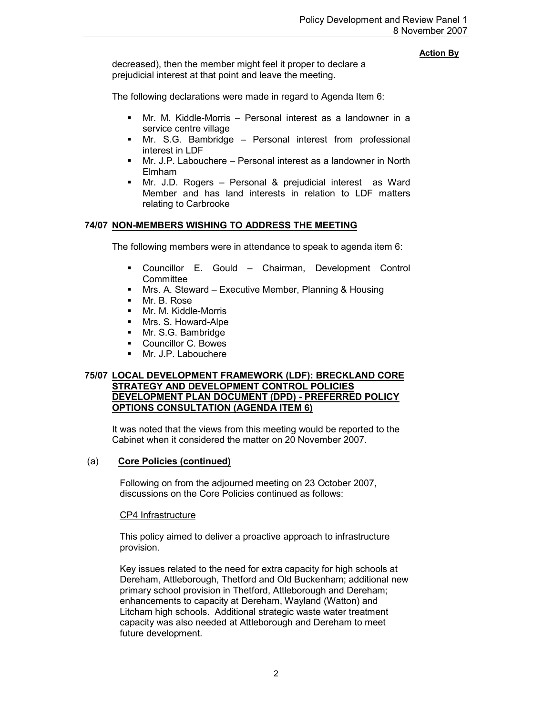decreased), then the member might feel it proper to declare a prejudicial interest at that point and leave the meeting.

The following declarations were made in regard to Agenda Item 6:

- § Mr. M. Kiddle-Morris Personal interest as a landowner in a service centre village
- § Mr. S.G. Bambridge Personal interest from professional interest in LDF
- Mr. J.P. Labouchere Personal interest as a landowner in North Elmham
- § Mr. J.D. Rogers Personal & prejudicial interest as Ward Member and has land interests in relation to LDF matters relating to Carbrooke

# 74/07 NON-MEMBERS WISHING TO ADDRESS THE MEETING

The following members were in attendance to speak to agenda item 6:

- § Councillor E. Gould Chairman, Development Control **Committee**
- Mrs. A. Steward Executive Member, Planning & Housing
- § Mr. B. Rose
- Mr. M. Kiddle-Morris
- Mrs. S. Howard-Alpe
- Mr. S.G. Bambridge
- § Councillor C. Bowes
- § Mr. J.P. Labouchere

# 75/07 LOCAL DEVELOPMENT FRAMEWORK (LDF): BRECKLAND CORE STRATEGY AND DEVELOPMENT CONTROL POLICIES DEVELOPMENT PLAN DOCUMENT (DPD) - PREFERRED POLICY OPTIONS CONSULTATION (AGENDA ITEM 6)

 It was noted that the views from this meeting would be reported to the Cabinet when it considered the matter on 20 November 2007.

# (a) Core Policies (continued)

 Following on from the adjourned meeting on 23 October 2007, discussions on the Core Policies continued as follows:

# CP4 Infrastructure

This policy aimed to deliver a proactive approach to infrastructure provision.

Key issues related to the need for extra capacity for high schools at Dereham, Attleborough, Thetford and Old Buckenham; additional new primary school provision in Thetford, Attleborough and Dereham; enhancements to capacity at Dereham, Wayland (Watton) and Litcham high schools. Additional strategic waste water treatment capacity was also needed at Attleborough and Dereham to meet future development.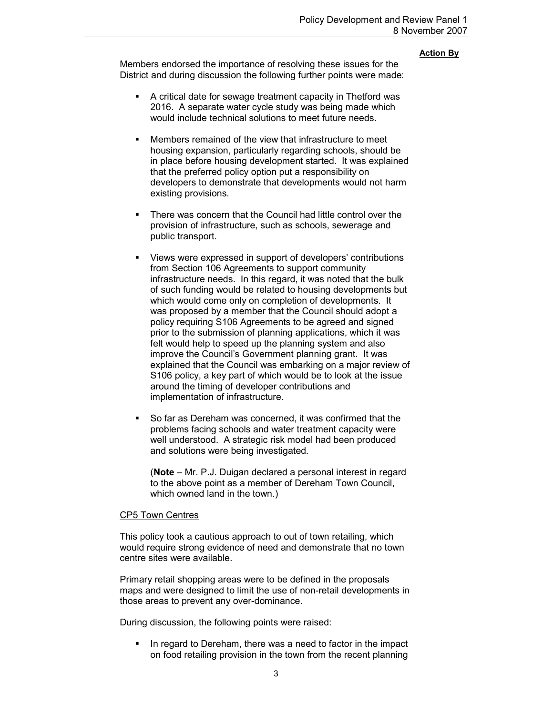Action By Members endorsed the importance of resolving these issues for the District and during discussion the following further points were made: ■ A critical date for sewage treatment capacity in Thetford was 2016. A separate water cycle study was being made which would include technical solutions to meet future needs. ■ Members remained of the view that infrastructure to meet housing expansion, particularly regarding schools, should be in place before housing development started. It was explained that the preferred policy option put a responsibility on developers to demonstrate that developments would not harm existing provisions. There was concern that the Council had little control over the provision of infrastructure, such as schools, sewerage and public transport. § Views were expressed in support of developers' contributions from Section 106 Agreements to support community infrastructure needs. In this regard, it was noted that the bulk of such funding would be related to housing developments but which would come only on completion of developments. It was proposed by a member that the Council should adopt a policy requiring S106 Agreements to be agreed and signed prior to the submission of planning applications, which it was felt would help to speed up the planning system and also improve the Council's Government planning grant. It was explained that the Council was embarking on a major review of S106 policy, a key part of which would be to look at the issue around the timing of developer contributions and implementation of infrastructure. § So far as Dereham was concerned, it was confirmed that the problems facing schools and water treatment capacity were well understood. A strategic risk model had been produced and solutions were being investigated. (Note – Mr. P.J. Duigan declared a personal interest in regard to the above point as a member of Dereham Town Council, which owned land in the town.) CP5 Town Centres This policy took a cautious approach to out of town retailing, which would require strong evidence of need and demonstrate that no town centre sites were available. Primary retail shopping areas were to be defined in the proposals

maps and were designed to limit the use of non-retail developments in those areas to prevent any over-dominance.

During discussion, the following points were raised:

■ In regard to Dereham, there was a need to factor in the impact on food retailing provision in the town from the recent planning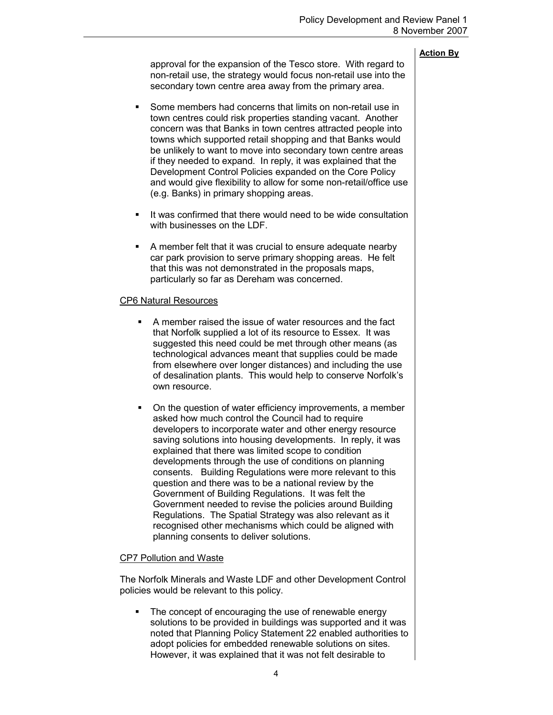approval for the expansion of the Tesco store. With regard to non-retail use, the strategy would focus non-retail use into the secondary town centre area away from the primary area.

- Some members had concerns that limits on non-retail use in town centres could risk properties standing vacant. Another concern was that Banks in town centres attracted people into towns which supported retail shopping and that Banks would be unlikely to want to move into secondary town centre areas if they needed to expand. In reply, it was explained that the Development Control Policies expanded on the Core Policy and would give flexibility to allow for some non-retail/office use (e.g. Banks) in primary shopping areas.
- It was confirmed that there would need to be wide consultation with businesses on the LDF.
- § A member felt that it was crucial to ensure adequate nearby car park provision to serve primary shopping areas. He felt that this was not demonstrated in the proposals maps, particularly so far as Dereham was concerned.

#### CP6 Natural Resources

- A member raised the issue of water resources and the fact that Norfolk supplied a lot of its resource to Essex. It was suggested this need could be met through other means (as technological advances meant that supplies could be made from elsewhere over longer distances) and including the use of desalination plants. This would help to conserve Norfolk's own resource.
- § On the question of water efficiency improvements, a member asked how much control the Council had to require developers to incorporate water and other energy resource saving solutions into housing developments. In reply, it was explained that there was limited scope to condition developments through the use of conditions on planning consents. Building Regulations were more relevant to this question and there was to be a national review by the Government of Building Regulations. It was felt the Government needed to revise the policies around Building Regulations. The Spatial Strategy was also relevant as it recognised other mechanisms which could be aligned with planning consents to deliver solutions.

# CP7 Pollution and Waste

The Norfolk Minerals and Waste LDF and other Development Control policies would be relevant to this policy.

• The concept of encouraging the use of renewable energy solutions to be provided in buildings was supported and it was noted that Planning Policy Statement 22 enabled authorities to adopt policies for embedded renewable solutions on sites. However, it was explained that it was not felt desirable to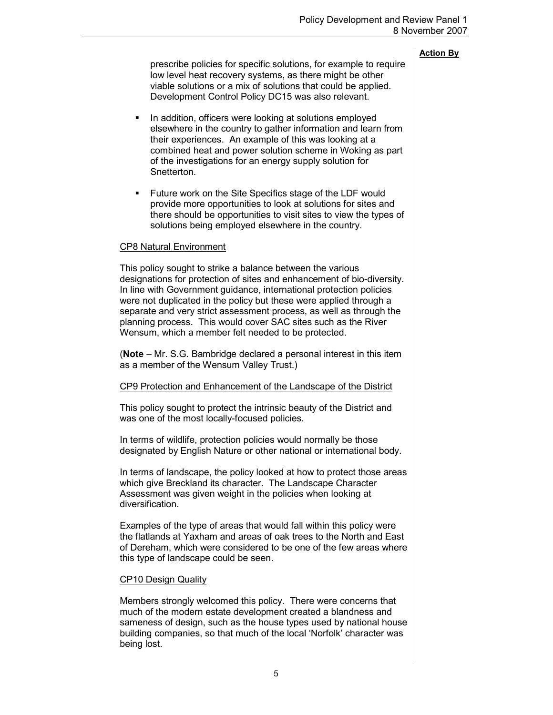|                                                                                                                                                                                                                                                                                                                                                                                                                                                                                   | <b>Action By</b> |  |  |
|-----------------------------------------------------------------------------------------------------------------------------------------------------------------------------------------------------------------------------------------------------------------------------------------------------------------------------------------------------------------------------------------------------------------------------------------------------------------------------------|------------------|--|--|
| prescribe policies for specific solutions, for example to require<br>low level heat recovery systems, as there might be other<br>viable solutions or a mix of solutions that could be applied.<br>Development Control Policy DC15 was also relevant.                                                                                                                                                                                                                              |                  |  |  |
| In addition, officers were looking at solutions employed<br>٠<br>elsewhere in the country to gather information and learn from<br>their experiences. An example of this was looking at a<br>combined heat and power solution scheme in Woking as part<br>of the investigations for an energy supply solution for<br>Snetterton.                                                                                                                                                   |                  |  |  |
| Future work on the Site Specifics stage of the LDF would<br>п<br>provide more opportunities to look at solutions for sites and<br>there should be opportunities to visit sites to view the types of<br>solutions being employed elsewhere in the country.                                                                                                                                                                                                                         |                  |  |  |
| <b>CP8 Natural Environment</b>                                                                                                                                                                                                                                                                                                                                                                                                                                                    |                  |  |  |
| This policy sought to strike a balance between the various<br>designations for protection of sites and enhancement of bio-diversity.<br>In line with Government guidance, international protection policies<br>were not duplicated in the policy but these were applied through a<br>separate and very strict assessment process, as well as through the<br>planning process. This would cover SAC sites such as the River<br>Wensum, which a member felt needed to be protected. |                  |  |  |
| (Note – Mr. S.G. Bambridge declared a personal interest in this item<br>as a member of the Wensum Valley Trust.)                                                                                                                                                                                                                                                                                                                                                                  |                  |  |  |
| CP9 Protection and Enhancement of the Landscape of the District                                                                                                                                                                                                                                                                                                                                                                                                                   |                  |  |  |
| This policy sought to protect the intrinsic beauty of the District and<br>was one of the most locally-focused policies.                                                                                                                                                                                                                                                                                                                                                           |                  |  |  |
| In terms of wildlife, protection policies would normally be those<br>designated by English Nature or other national or international body.                                                                                                                                                                                                                                                                                                                                        |                  |  |  |
| In terms of landscape, the policy looked at how to protect those areas<br>which give Breckland its character. The Landscape Character<br>Assessment was given weight in the policies when looking at<br>diversification.                                                                                                                                                                                                                                                          |                  |  |  |
| Examples of the type of areas that would fall within this policy were<br>the flatlands at Yaxham and areas of oak trees to the North and East<br>of Dereham, which were considered to be one of the few areas where<br>this type of landscape could be seen.                                                                                                                                                                                                                      |                  |  |  |
| <b>CP10 Design Quality</b>                                                                                                                                                                                                                                                                                                                                                                                                                                                        |                  |  |  |
| Members strongly welcomed this policy. There were concerns that<br>much of the modern estate development created a blandness and<br>sameness of design, such as the house types used by national house<br>building companies, so that much of the local 'Norfolk' character was<br>being lost.                                                                                                                                                                                    |                  |  |  |
|                                                                                                                                                                                                                                                                                                                                                                                                                                                                                   |                  |  |  |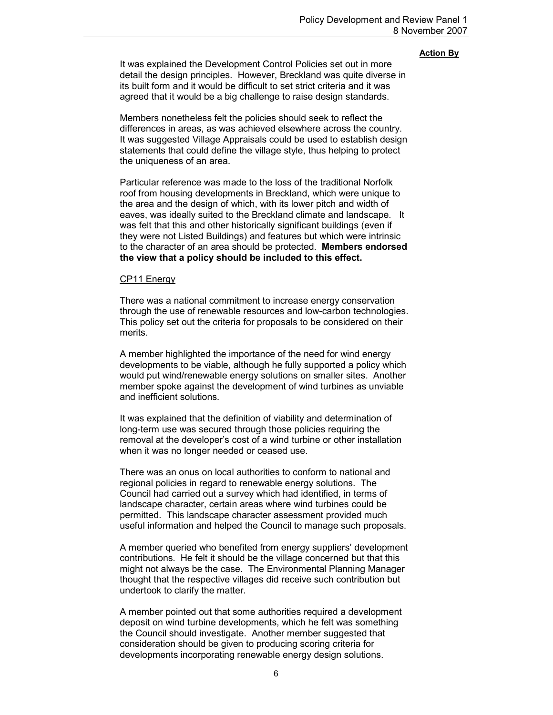It was explained the Development Control Policies set out in more detail the design principles. However, Breckland was quite diverse in its built form and it would be difficult to set strict criteria and it was agreed that it would be a big challenge to raise design standards.

Members nonetheless felt the policies should seek to reflect the differences in areas, as was achieved elsewhere across the country. It was suggested Village Appraisals could be used to establish design statements that could define the village style, thus helping to protect the uniqueness of an area.

Particular reference was made to the loss of the traditional Norfolk roof from housing developments in Breckland, which were unique to the area and the design of which, with its lower pitch and width of eaves, was ideally suited to the Breckland climate and landscape. It was felt that this and other historically significant buildings (even if they were not Listed Buildings) and features but which were intrinsic to the character of an area should be protected. Members endorsed the view that a policy should be included to this effect.

#### CP11 Energy

There was a national commitment to increase energy conservation through the use of renewable resources and low-carbon technologies. This policy set out the criteria for proposals to be considered on their merits.

A member highlighted the importance of the need for wind energy developments to be viable, although he fully supported a policy which would put wind/renewable energy solutions on smaller sites. Another member spoke against the development of wind turbines as unviable and inefficient solutions.

It was explained that the definition of viability and determination of long-term use was secured through those policies requiring the removal at the developer's cost of a wind turbine or other installation when it was no longer needed or ceased use.

There was an onus on local authorities to conform to national and regional policies in regard to renewable energy solutions. The Council had carried out a survey which had identified, in terms of landscape character, certain areas where wind turbines could be permitted. This landscape character assessment provided much useful information and helped the Council to manage such proposals.

A member queried who benefited from energy suppliers' development contributions. He felt it should be the village concerned but that this might not always be the case. The Environmental Planning Manager thought that the respective villages did receive such contribution but undertook to clarify the matter.

A member pointed out that some authorities required a development deposit on wind turbine developments, which he felt was something the Council should investigate. Another member suggested that consideration should be given to producing scoring criteria for developments incorporating renewable energy design solutions.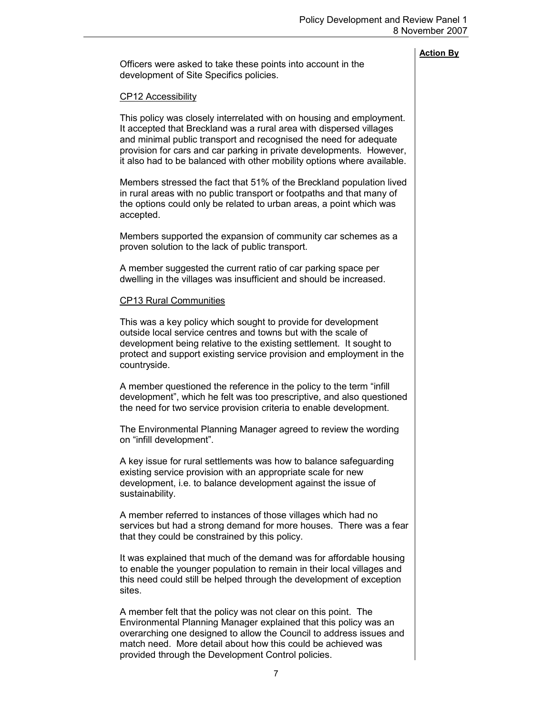Officers were asked to take these points into account in the development of Site Specifics policies.

#### CP12 Accessibility

This policy was closely interrelated with on housing and employment. It accepted that Breckland was a rural area with dispersed villages and minimal public transport and recognised the need for adequate provision for cars and car parking in private developments. However, it also had to be balanced with other mobility options where available.

Members stressed the fact that 51% of the Breckland population lived in rural areas with no public transport or footpaths and that many of the options could only be related to urban areas, a point which was accepted.

Members supported the expansion of community car schemes as a proven solution to the lack of public transport.

A member suggested the current ratio of car parking space per dwelling in the villages was insufficient and should be increased.

#### CP13 Rural Communities

This was a key policy which sought to provide for development outside local service centres and towns but with the scale of development being relative to the existing settlement. It sought to protect and support existing service provision and employment in the countryside.

A member questioned the reference in the policy to the term "infill development", which he felt was too prescriptive, and also questioned the need for two service provision criteria to enable development.

The Environmental Planning Manager agreed to review the wording on "infill development".

A key issue for rural settlements was how to balance safeguarding existing service provision with an appropriate scale for new development, i.e. to balance development against the issue of sustainability.

A member referred to instances of those villages which had no services but had a strong demand for more houses. There was a fear that they could be constrained by this policy.

It was explained that much of the demand was for affordable housing to enable the younger population to remain in their local villages and this need could still be helped through the development of exception sites.

A member felt that the policy was not clear on this point. The Environmental Planning Manager explained that this policy was an overarching one designed to allow the Council to address issues and match need. More detail about how this could be achieved was provided through the Development Control policies.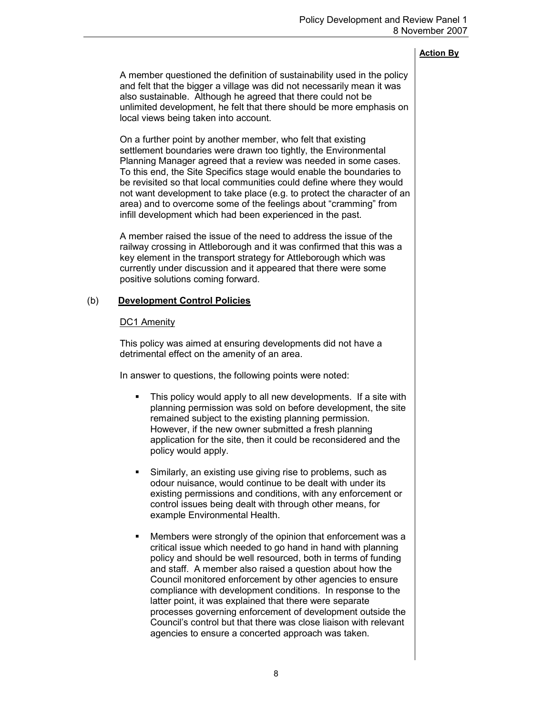A member questioned the definition of sustainability used in the policy and felt that the bigger a village was did not necessarily mean it was also sustainable. Although he agreed that there could not be unlimited development, he felt that there should be more emphasis on local views being taken into account.

On a further point by another member, who felt that existing settlement boundaries were drawn too tightly, the Environmental Planning Manager agreed that a review was needed in some cases. To this end, the Site Specifics stage would enable the boundaries to be revisited so that local communities could define where they would not want development to take place (e.g. to protect the character of an area) and to overcome some of the feelings about "cramming" from infill development which had been experienced in the past.

A member raised the issue of the need to address the issue of the railway crossing in Attleborough and it was confirmed that this was a key element in the transport strategy for Attleborough which was currently under discussion and it appeared that there were some positive solutions coming forward.

# (b) Development Control Policies

# DC1 Amenity

This policy was aimed at ensuring developments did not have a detrimental effect on the amenity of an area.

In answer to questions, the following points were noted:

- This policy would apply to all new developments. If a site with planning permission was sold on before development, the site remained subject to the existing planning permission. However, if the new owner submitted a fresh planning application for the site, then it could be reconsidered and the policy would apply.
- § Similarly, an existing use giving rise to problems, such as odour nuisance, would continue to be dealt with under its existing permissions and conditions, with any enforcement or control issues being dealt with through other means, for example Environmental Health.
- § Members were strongly of the opinion that enforcement was a critical issue which needed to go hand in hand with planning policy and should be well resourced, both in terms of funding and staff. A member also raised a question about how the Council monitored enforcement by other agencies to ensure compliance with development conditions. In response to the latter point, it was explained that there were separate processes governing enforcement of development outside the Council's control but that there was close liaison with relevant agencies to ensure a concerted approach was taken.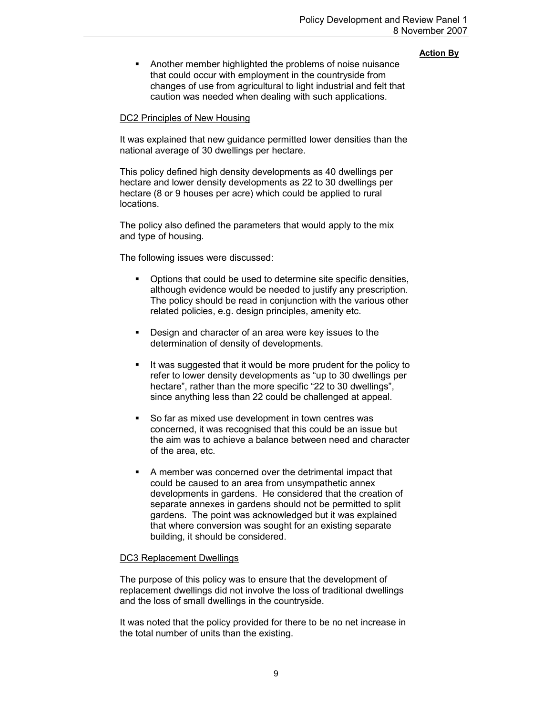|                                                                                                                                                                                                                                                                                                                                                                                                                   | 8 November 200   |
|-------------------------------------------------------------------------------------------------------------------------------------------------------------------------------------------------------------------------------------------------------------------------------------------------------------------------------------------------------------------------------------------------------------------|------------------|
| Another member highlighted the problems of noise nuisance<br>п<br>that could occur with employment in the countryside from<br>changes of use from agricultural to light industrial and felt that<br>caution was needed when dealing with such applications.                                                                                                                                                       | <b>Action By</b> |
| <b>DC2 Principles of New Housing</b>                                                                                                                                                                                                                                                                                                                                                                              |                  |
| It was explained that new guidance permitted lower densities than the<br>national average of 30 dwellings per hectare.                                                                                                                                                                                                                                                                                            |                  |
| This policy defined high density developments as 40 dwellings per<br>hectare and lower density developments as 22 to 30 dwellings per<br>hectare (8 or 9 houses per acre) which could be applied to rural<br>locations.                                                                                                                                                                                           |                  |
| The policy also defined the parameters that would apply to the mix<br>and type of housing.                                                                                                                                                                                                                                                                                                                        |                  |
| The following issues were discussed:                                                                                                                                                                                                                                                                                                                                                                              |                  |
| Options that could be used to determine site specific densities,<br>п<br>although evidence would be needed to justify any prescription.<br>The policy should be read in conjunction with the various other<br>related policies, e.g. design principles, amenity etc.                                                                                                                                              |                  |
| Design and character of an area were key issues to the<br>٠<br>determination of density of developments.                                                                                                                                                                                                                                                                                                          |                  |
| It was suggested that it would be more prudent for the policy to<br>٠<br>refer to lower density developments as "up to 30 dwellings per<br>hectare", rather than the more specific "22 to 30 dwellings".<br>since anything less than 22 could be challenged at appeal.                                                                                                                                            |                  |
| So far as mixed use development in town centres was<br>ш<br>concerned, it was recognised that this could be an issue but<br>the aim was to achieve a balance between need and character<br>of the area, etc.                                                                                                                                                                                                      |                  |
| A member was concerned over the detrimental impact that<br>ш<br>could be caused to an area from unsympathetic annex<br>developments in gardens. He considered that the creation of<br>separate annexes in gardens should not be permitted to split<br>gardens. The point was acknowledged but it was explained<br>that where conversion was sought for an existing separate<br>building, it should be considered. |                  |
| <b>DC3 Replacement Dwellings</b>                                                                                                                                                                                                                                                                                                                                                                                  |                  |
| The purpose of this policy was to ensure that the development of<br>replacement dwellings did not involve the loss of traditional dwellings<br>and the loss of small dwellings in the countryside.                                                                                                                                                                                                                |                  |
| It was noted that the policy provided for there to be no net increase in<br>the total number of units than the existing.                                                                                                                                                                                                                                                                                          |                  |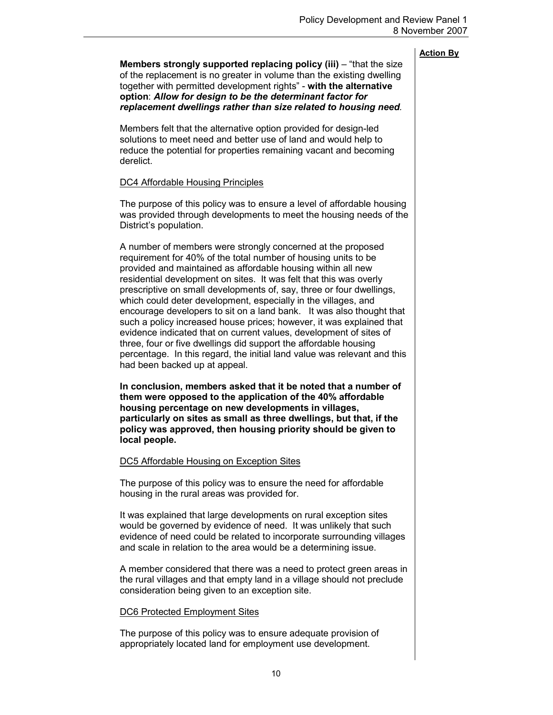| <b>Action By</b> |  |
|------------------|--|
|                  |  |

| Members strongly supported replacing policy (iii) – "that the size<br>of the replacement is no greater in volume than the existing dwelling<br>together with permitted development rights" - with the alternative<br>option: Allow for design to be the determinant factor for<br>replacement dwellings rather than size related to housing need.                                                                                                                                                                                                                                                                                                                                                                                                                                                                    |  |  |
|----------------------------------------------------------------------------------------------------------------------------------------------------------------------------------------------------------------------------------------------------------------------------------------------------------------------------------------------------------------------------------------------------------------------------------------------------------------------------------------------------------------------------------------------------------------------------------------------------------------------------------------------------------------------------------------------------------------------------------------------------------------------------------------------------------------------|--|--|
| Members felt that the alternative option provided for design-led<br>solutions to meet need and better use of land and would help to<br>reduce the potential for properties remaining vacant and becoming<br>derelict.                                                                                                                                                                                                                                                                                                                                                                                                                                                                                                                                                                                                |  |  |
| <b>DC4 Affordable Housing Principles</b>                                                                                                                                                                                                                                                                                                                                                                                                                                                                                                                                                                                                                                                                                                                                                                             |  |  |
| The purpose of this policy was to ensure a level of affordable housing<br>was provided through developments to meet the housing needs of the<br>District's population.                                                                                                                                                                                                                                                                                                                                                                                                                                                                                                                                                                                                                                               |  |  |
| A number of members were strongly concerned at the proposed<br>requirement for 40% of the total number of housing units to be<br>provided and maintained as affordable housing within all new<br>residential development on sites. It was felt that this was overly<br>prescriptive on small developments of, say, three or four dwellings,<br>which could deter development, especially in the villages, and<br>encourage developers to sit on a land bank. It was also thought that<br>such a policy increased house prices; however, it was explained that<br>evidence indicated that on current values, development of sites of<br>three, four or five dwellings did support the affordable housing<br>percentage. In this regard, the initial land value was relevant and this<br>had been backed up at appeal. |  |  |
| In conclusion, members asked that it be noted that a number of<br>them were opposed to the application of the 40% affordable<br>housing percentage on new developments in villages,<br>particularly on sites as small as three dwellings, but that, if the<br>policy was approved, then housing priority should be given to<br>local people.                                                                                                                                                                                                                                                                                                                                                                                                                                                                         |  |  |
| DC5 Affordable Housing on Exception Sites                                                                                                                                                                                                                                                                                                                                                                                                                                                                                                                                                                                                                                                                                                                                                                            |  |  |
| The purpose of this policy was to ensure the need for affordable<br>housing in the rural areas was provided for.                                                                                                                                                                                                                                                                                                                                                                                                                                                                                                                                                                                                                                                                                                     |  |  |
| It was explained that large developments on rural exception sites<br>would be governed by evidence of need. It was unlikely that such<br>evidence of need could be related to incorporate surrounding villages<br>and scale in relation to the area would be a determining issue.                                                                                                                                                                                                                                                                                                                                                                                                                                                                                                                                    |  |  |
| A member considered that there was a need to protect green areas in<br>the rural villages and that empty land in a village should not preclude<br>consideration being given to an exception site.                                                                                                                                                                                                                                                                                                                                                                                                                                                                                                                                                                                                                    |  |  |
| <b>DC6 Protected Employment Sites</b>                                                                                                                                                                                                                                                                                                                                                                                                                                                                                                                                                                                                                                                                                                                                                                                |  |  |
| The purpose of this policy was to ensure adequate provision of<br>appropriately located land for employment use development.                                                                                                                                                                                                                                                                                                                                                                                                                                                                                                                                                                                                                                                                                         |  |  |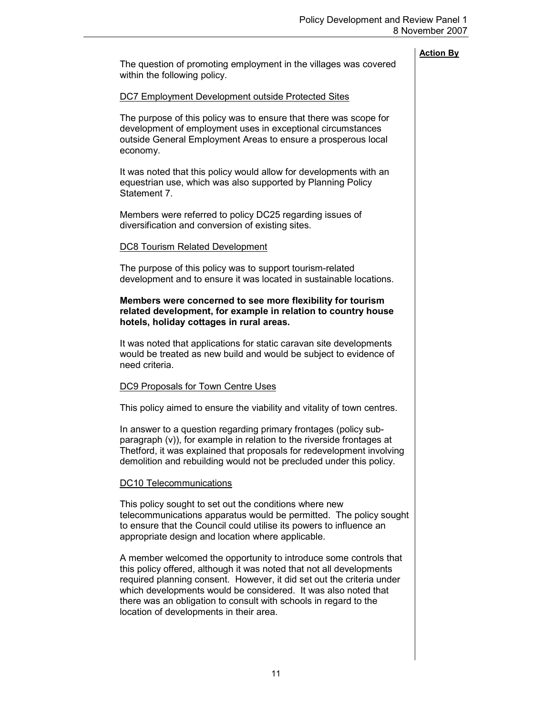|                                                                                                                                                                                                                                                                                                                                                                                                     | <b>Action By</b> |
|-----------------------------------------------------------------------------------------------------------------------------------------------------------------------------------------------------------------------------------------------------------------------------------------------------------------------------------------------------------------------------------------------------|------------------|
| The question of promoting employment in the villages was covered<br>within the following policy.                                                                                                                                                                                                                                                                                                    |                  |
| DC7 Employment Development outside Protected Sites                                                                                                                                                                                                                                                                                                                                                  |                  |
| The purpose of this policy was to ensure that there was scope for<br>development of employment uses in exceptional circumstances<br>outside General Employment Areas to ensure a prosperous local<br>economy.                                                                                                                                                                                       |                  |
| It was noted that this policy would allow for developments with an<br>equestrian use, which was also supported by Planning Policy<br>Statement 7.                                                                                                                                                                                                                                                   |                  |
| Members were referred to policy DC25 regarding issues of<br>diversification and conversion of existing sites.                                                                                                                                                                                                                                                                                       |                  |
| <b>DC8 Tourism Related Development</b>                                                                                                                                                                                                                                                                                                                                                              |                  |
| The purpose of this policy was to support tourism-related<br>development and to ensure it was located in sustainable locations.                                                                                                                                                                                                                                                                     |                  |
| Members were concerned to see more flexibility for tourism<br>related development, for example in relation to country house<br>hotels, holiday cottages in rural areas.                                                                                                                                                                                                                             |                  |
| It was noted that applications for static caravan site developments<br>would be treated as new build and would be subject to evidence of<br>need criteria.                                                                                                                                                                                                                                          |                  |
| <b>DC9 Proposals for Town Centre Uses</b>                                                                                                                                                                                                                                                                                                                                                           |                  |
| This policy aimed to ensure the viability and vitality of town centres.                                                                                                                                                                                                                                                                                                                             |                  |
| In answer to a question regarding primary frontages (policy sub-<br>paragraph (v)), for example in relation to the riverside frontages at<br>Thetford, it was explained that proposals for redevelopment involving<br>demolition and rebuilding would not be precluded under this policy.                                                                                                           |                  |
| <b>DC10 Telecommunications</b>                                                                                                                                                                                                                                                                                                                                                                      |                  |
| This policy sought to set out the conditions where new<br>telecommunications apparatus would be permitted. The policy sought<br>to ensure that the Council could utilise its powers to influence an<br>appropriate design and location where applicable.                                                                                                                                            |                  |
| A member welcomed the opportunity to introduce some controls that<br>this policy offered, although it was noted that not all developments<br>required planning consent. However, it did set out the criteria under<br>which developments would be considered. It was also noted that<br>there was an obligation to consult with schools in regard to the<br>location of developments in their area. |                  |
|                                                                                                                                                                                                                                                                                                                                                                                                     |                  |

 $\overline{\phantom{a}}$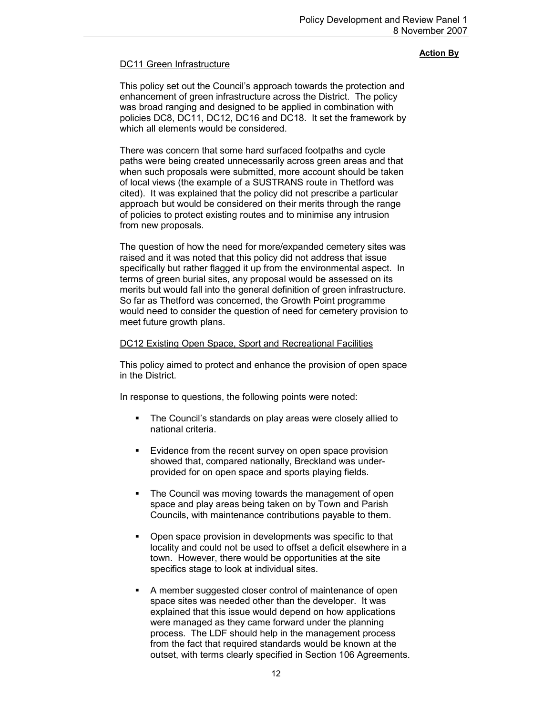# DC11 Green Infrastructure

This policy set out the Council's approach towards the protection and enhancement of green infrastructure across the District. The policy was broad ranging and designed to be applied in combination with policies DC8, DC11, DC12, DC16 and DC18. It set the framework by which all elements would be considered.

There was concern that some hard surfaced footpaths and cycle paths were being created unnecessarily across green areas and that when such proposals were submitted, more account should be taken of local views (the example of a SUSTRANS route in Thetford was cited). It was explained that the policy did not prescribe a particular approach but would be considered on their merits through the range of policies to protect existing routes and to minimise any intrusion from new proposals.

The question of how the need for more/expanded cemetery sites was raised and it was noted that this policy did not address that issue specifically but rather flagged it up from the environmental aspect. In terms of green burial sites, any proposal would be assessed on its merits but would fall into the general definition of green infrastructure. So far as Thetford was concerned, the Growth Point programme would need to consider the question of need for cemetery provision to meet future growth plans.

# DC12 Existing Open Space, Sport and Recreational Facilities

This policy aimed to protect and enhance the provision of open space in the District.

In response to questions, the following points were noted:

- The Council's standards on play areas were closely allied to national criteria.
- Evidence from the recent survey on open space provision showed that, compared nationally, Breckland was underprovided for on open space and sports playing fields.
- The Council was moving towards the management of open space and play areas being taken on by Town and Parish Councils, with maintenance contributions payable to them.
- Open space provision in developments was specific to that locality and could not be used to offset a deficit elsewhere in a town. However, there would be opportunities at the site specifics stage to look at individual sites.
- § A member suggested closer control of maintenance of open space sites was needed other than the developer. It was explained that this issue would depend on how applications were managed as they came forward under the planning process. The LDF should help in the management process from the fact that required standards would be known at the outset, with terms clearly specified in Section 106 Agreements.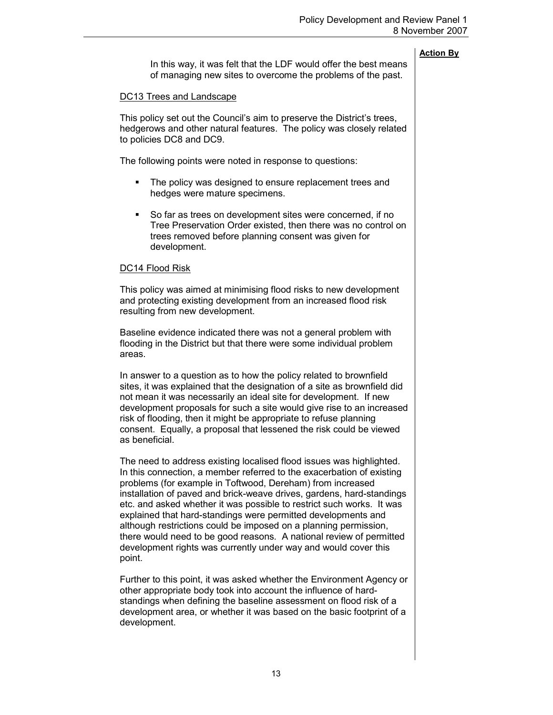In this way, it was felt that the LDF would offer the best means of managing new sites to overcome the problems of the past.

# DC13 Trees and Landscape

This policy set out the Council's aim to preserve the District's trees, hedgerows and other natural features. The policy was closely related to policies DC8 and DC9.

The following points were noted in response to questions:

- The policy was designed to ensure replacement trees and hedges were mature specimens.
- So far as trees on development sites were concerned, if no Tree Preservation Order existed, then there was no control on trees removed before planning consent was given for development.

# DC14 Flood Risk

This policy was aimed at minimising flood risks to new development and protecting existing development from an increased flood risk resulting from new development.

Baseline evidence indicated there was not a general problem with flooding in the District but that there were some individual problem areas.

In answer to a question as to how the policy related to brownfield sites, it was explained that the designation of a site as brownfield did not mean it was necessarily an ideal site for development. If new development proposals for such a site would give rise to an increased risk of flooding, then it might be appropriate to refuse planning consent. Equally, a proposal that lessened the risk could be viewed as beneficial.

The need to address existing localised flood issues was highlighted. In this connection, a member referred to the exacerbation of existing problems (for example in Toftwood, Dereham) from increased installation of paved and brick-weave drives, gardens, hard-standings etc. and asked whether it was possible to restrict such works. It was explained that hard-standings were permitted developments and although restrictions could be imposed on a planning permission, there would need to be good reasons. A national review of permitted development rights was currently under way and would cover this point.

Further to this point, it was asked whether the Environment Agency or other appropriate body took into account the influence of hardstandings when defining the baseline assessment on flood risk of a development area, or whether it was based on the basic footprint of a development.